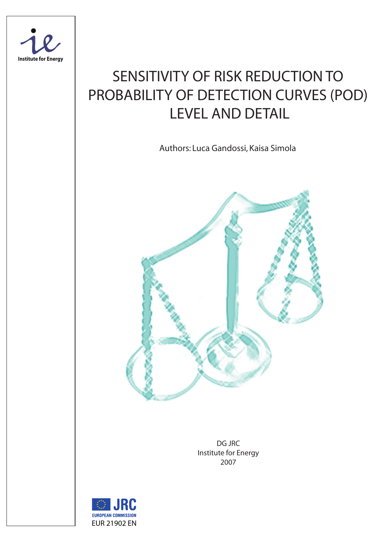

# SENSITIVITY OF RISK REDUCTION TO PROBABILITY OF DETECTION CURVES (POD) LEVEL AND DETAIL

Authors: Luca Gandossi, Kaisa Simola



DG JRC Institute for Energy 2007

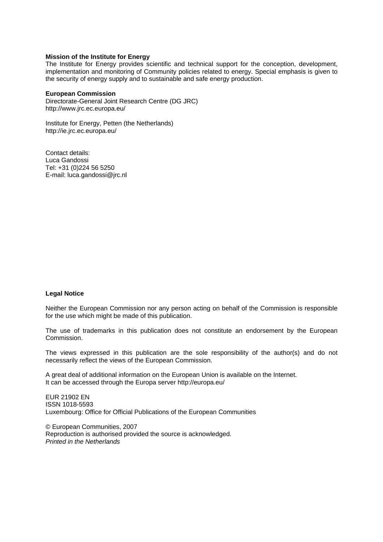#### **Mission of the Institute for Energy**

The Institute for Energy provides scientific and technical support for the conception, development, implementation and monitoring of Community policies related to energy. Special emphasis is given to the security of energy supply and to sustainable and safe energy production.

#### **European Commission**

Directorate-General Joint Research Centre (DG JRC) http://www.jrc.ec.europa.eu/

Institute for Energy, Petten (the Netherlands) http://ie.jrc.ec.europa.eu/

Contact details: Luca Gandossi Tel: +31 (0)224 56 5250 E-mail: luca.gandossi@jrc.nl

#### **Legal Notice**

Neither the European Commission nor any person acting on behalf of the Commission is responsible for the use which might be made of this publication.

The use of trademarks in this publication does not constitute an endorsement by the European Commission.

The views expressed in this publication are the sole responsibility of the author(s) and do not necessarily reflect the views of the European Commission.

A great deal of additional information on the European Union is available on the Internet. It can be accessed through the Europa server http://europa.eu/

EUR 21902 EN ISSN 1018-5593 Luxembourg: Office for Official Publications of the European Communities

© European Communities, 2007 Reproduction is authorised provided the source is acknowledged. *Printed in the Netherlands*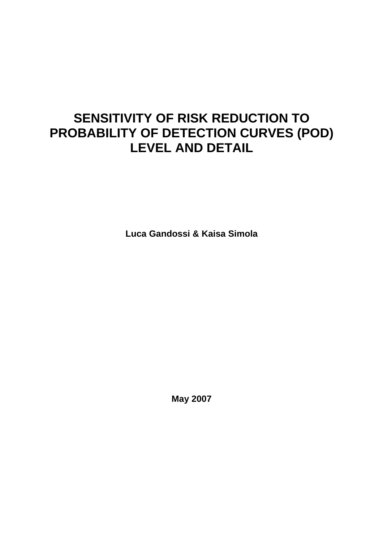## **SENSITIVITY OF RISK REDUCTION TO PROBABILITY OF DETECTION CURVES (POD) LEVEL AND DETAIL**

**Luca Gandossi & Kaisa Simola** 

**May 2007**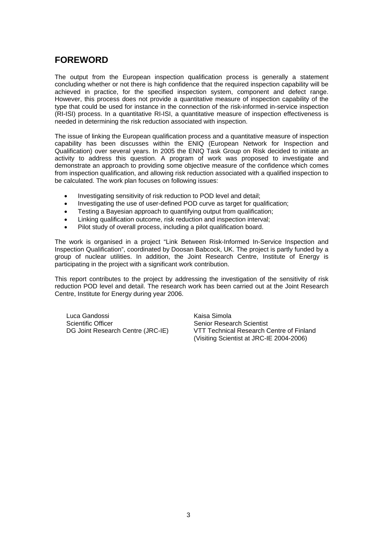## **FOREWORD**

The output from the European inspection qualification process is generally a statement concluding whether or not there is high confidence that the required inspection capability will be achieved in practice, for the specified inspection system, component and defect range. However, this process does not provide a quantitative measure of inspection capability of the type that could be used for instance in the connection of the risk-informed in-service inspection (RI-ISI) process. In a quantitative RI-ISI, a quantitative measure of inspection effectiveness is needed in determining the risk reduction associated with inspection.

The issue of linking the European qualification process and a quantitative measure of inspection capability has been discusses within the ENIQ (European Network for Inspection and Qualification) over several years. In 2005 the ENIQ Task Group on Risk decided to initiate an activity to address this question. A program of work was proposed to investigate and demonstrate an approach to providing some objective measure of the confidence which comes from inspection qualification, and allowing risk reduction associated with a qualified inspection to be calculated. The work plan focuses on following issues:

- Investigating sensitivity of risk reduction to POD level and detail;
- Investigating the use of user-defined POD curve as target for qualification;
- Testing a Bayesian approach to quantifying output from qualification;
- Linking qualification outcome, risk reduction and inspection interval;
- Pilot study of overall process, including a pilot qualification board.

The work is organised in a project "Link Between Risk-Informed In-Service Inspection and Inspection Qualification", coordinated by Doosan Babcock, UK. The project is partly funded by a group of nuclear utilities. In addition, the Joint Research Centre, Institute of Energy is participating in the project with a significant work contribution.

This report contributes to the project by addressing the investigation of the sensitivity of risk reduction POD level and detail. The research work has been carried out at the Joint Research Centre, Institute for Energy during year 2006.

Luca Gandossi **Kaisa Simola** Scientific Officer Scientist Senior Research Scientist

DG Joint Research Centre (JRC-IE) VTT Technical Research Centre of Finland (Visiting Scientist at JRC-IE 2004-2006)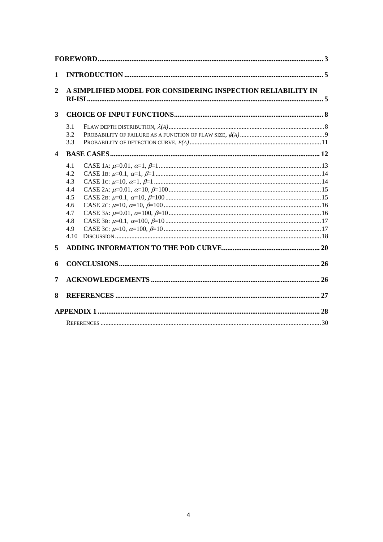| $\mathbf{1}$            |                                                                     |                                                              |  |
|-------------------------|---------------------------------------------------------------------|--------------------------------------------------------------|--|
| $\overline{2}$          |                                                                     | A SIMPLIFIED MODEL FOR CONSIDERING INSPECTION RELIABILITY IN |  |
| 3                       |                                                                     |                                                              |  |
|                         | 3.1<br>3.2<br>3.3                                                   |                                                              |  |
| $\overline{\mathbf{4}}$ |                                                                     |                                                              |  |
|                         | 4.1<br>4.2<br>4.3<br>4.4<br>4.5<br>4.6<br>4.7<br>4.8<br>4.9<br>4.10 |                                                              |  |
| 5                       |                                                                     |                                                              |  |
| 6                       |                                                                     |                                                              |  |
| 7                       |                                                                     |                                                              |  |
| 8                       |                                                                     |                                                              |  |
|                         |                                                                     |                                                              |  |
|                         |                                                                     |                                                              |  |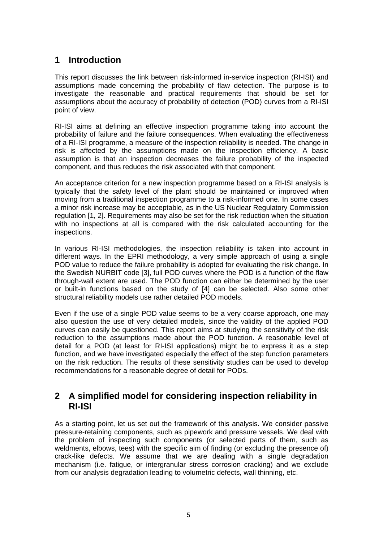## **1 Introduction**

This report discusses the link between risk-informed in-service inspection (RI-ISI) and assumptions made concerning the probability of flaw detection. The purpose is to investigate the reasonable and practical requirements that should be set for assumptions about the accuracy of probability of detection (POD) curves from a RI-ISI point of view.

RI-ISI aims at defining an effective inspection programme taking into account the probability of failure and the failure consequences. When evaluating the effectiveness of a RI-ISI programme, a measure of the inspection reliability is needed. The change in risk is affected by the assumptions made on the inspection efficiency. A basic assumption is that an inspection decreases the failure probability of the inspected component, and thus reduces the risk associated with that component.

An acceptance criterion for a new inspection programme based on a RI-ISI analysis is typically that the safety level of the plant should be maintained or improved when moving from a traditional inspection programme to a risk-informed one. In some cases a minor risk increase may be acceptable, as in the US Nuclear Regulatory Commission regulation [1, 2]. Requirements may also be set for the risk reduction when the situation with no inspections at all is compared with the risk calculated accounting for the inspections.

In various RI-ISI methodologies, the inspection reliability is taken into account in different ways. In the EPRI methodology, a very simple approach of using a single POD value to reduce the failure probability is adopted for evaluating the risk change. In the Swedish NURBIT code [3], full POD curves where the POD is a function of the flaw through-wall extent are used. The POD function can either be determined by the user or built-in functions based on the study of [4] can be selected. Also some other structural reliability models use rather detailed POD models.

Even if the use of a single POD value seems to be a very coarse approach, one may also question the use of very detailed models, since the validity of the applied POD curves can easily be questioned. This report aims at studying the sensitivity of the risk reduction to the assumptions made about the POD function. A reasonable level of detail for a POD (at least for RI-ISI applications) might be to express it as a step function, and we have investigated especially the effect of the step function parameters on the risk reduction. The results of these sensitivity studies can be used to develop recommendations for a reasonable degree of detail for PODs.

## **2 A simplified model for considering inspection reliability in RI-ISI**

As a starting point, let us set out the framework of this analysis. We consider passive pressure-retaining components, such as pipework and pressure vessels. We deal with the problem of inspecting such components (or selected parts of them, such as weldments, elbows, tees) with the specific aim of finding (or excluding the presence of) crack-like defects. We assume that we are dealing with a single degradation mechanism (i.e. fatigue, or intergranular stress corrosion cracking) and we exclude from our analysis degradation leading to volumetric defects, wall thinning, etc.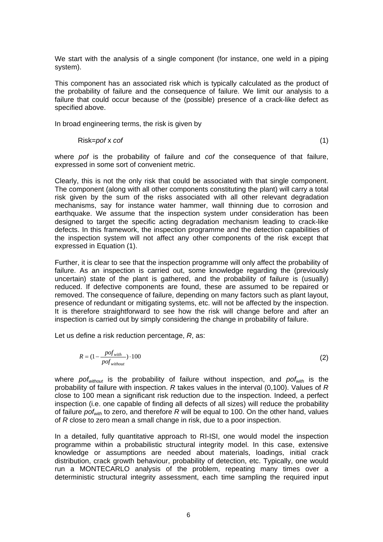We start with the analysis of a single component (for instance, one weld in a piping system).

This component has an associated risk which is typically calculated as the product of the probability of failure and the consequence of failure. We limit our analysis to a failure that could occur because of the (possible) presence of a crack-like defect as specified above.

In broad engineering terms, the risk is given by

Risk=*pof* x *cof* (1)

where *pof* is the probability of failure and *cof* the consequence of that failure, expressed in some sort of convenient metric.

Clearly, this is not the only risk that could be associated with that single component. The component (along with all other components constituting the plant) will carry a total risk given by the sum of the risks associated with all other relevant degradation mechanisms, say for instance water hammer, wall thinning due to corrosion and earthquake. We assume that the inspection system under consideration has been designed to target the specific acting degradation mechanism leading to crack-like defects. In this framework, the inspection programme and the detection capabilities of the inspection system will not affect any other components of the risk except that expressed in Equation (1).

Further, it is clear to see that the inspection programme will only affect the probability of failure. As an inspection is carried out, some knowledge regarding the (previously uncertain) state of the plant is gathered, and the probability of failure is (usually) reduced. If defective components are found, these are assumed to be repaired or removed. The consequence of failure, depending on many factors such as plant layout, presence of redundant or mitigating systems, etc. will not be affected by the inspection. It is therefore straightforward to see how the risk will change before and after an inspection is carried out by simply considering the change in probability of failure.

Let us define a risk reduction percentage, *R*, as:

$$
R = (1 - \frac{pof_{with}}{pof_{without}}) \cdot 100
$$
 (2)

where *pofwithout* is the probability of failure without inspection, and *pofwith* is the probability of failure with inspection. *R* takes values in the interval (0,100). Values of *R* close to 100 mean a significant risk reduction due to the inspection. Indeed, a perfect inspection (i.e. one capable of finding all defects of all sizes) will reduce the probability of failure *pofwith* to zero, and therefore *R* will be equal to 100. On the other hand, values of *R* close to zero mean a small change in risk, due to a poor inspection.

In a detailed, fully quantitative approach to RI-ISI, one would model the inspection programme within a probabilistic structural integrity model. In this case, extensive knowledge or assumptions are needed about materials, loadings, initial crack distribution, crack growth behaviour, probability of detection, etc. Typically, one would run a MONTECARLO analysis of the problem, repeating many times over a deterministic structural integrity assessment, each time sampling the required input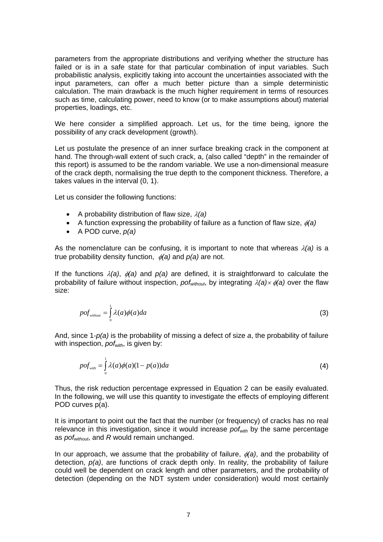parameters from the appropriate distributions and verifying whether the structure has failed or is in a safe state for that particular combination of input variables. Such probabilistic analysis, explicitly taking into account the uncertainties associated with the input parameters, can offer a much better picture than a simple deterministic calculation. The main drawback is the much higher requirement in terms of resources such as time, calculating power, need to know (or to make assumptions about) material properties, loadings, etc.

We here consider a simplified approach. Let us, for the time being, ignore the possibility of any crack development (growth).

Let us postulate the presence of an inner surface breaking crack in the component at hand. The through-wall extent of such crack, a, (also called "depth" in the remainder of this report) is assumed to be the random variable. We use a non-dimensional measure of the crack depth, normalising the true depth to the component thickness. Therefore, *a* takes values in the interval (0, 1).

Let us consider the following functions:

- A probability distribution of flaw size, λ*(a)*
- A function expressing the probability of failure as a function of flaw size, φ*(a)*
- A POD curve, *p(a)*

As the nomenclature can be confusing, it is important to note that whereas  $\lambda$ (a) is a true probability density function, φ*(a)* and *p(a)* are not.

If the functions λ*(a)*, φ*(a)* and *p(a)* are defined, it is straightforward to calculate the probability of failure without inspection, *pofwithout*, by integrating λ*(a)*× φ*(a)* over the flaw size:

$$
pof_{\text{without}} = \int_{0}^{1} \lambda(a)\phi(a)da
$$
 (3)

And, since 1-*p(a)* is the probability of missing a defect of size *a*, the probability of failure with inspection, *pof<sub>with</sub>*, is given by:

$$
pof_{\text{with}} = \int_{0}^{1} \lambda(a)\phi(a)(1-p(a))da
$$
 (4)

Thus, the risk reduction percentage expressed in Equation 2 can be easily evaluated. In the following, we will use this quantity to investigate the effects of employing different POD curves p(a).

It is important to point out the fact that the number (or frequency) of cracks has no real relevance in this investigation, since it would increase *pofwith* by the same percentage as *pofwithout*, and *R* would remain unchanged.

In our approach, we assume that the probability of failure, φ*(a)*, and the probability of detection, *p(a)*, are functions of crack depth only. In reality, the probability of failure could well be dependent on crack length and other parameters, and the probability of detection (depending on the NDT system under consideration) would most certainly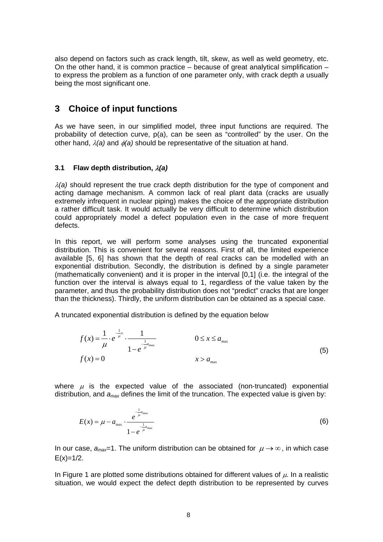also depend on factors such as crack length, tilt, skew, as well as weld geometry, etc. On the other hand, it is common practice  $-$  because of great analytical simplification  $$ to express the problem as a function of one parameter only, with crack depth *a* usually being the most significant one.

## **3 Choice of input functions**

As we have seen, in our simplified model, three input functions are required. The probability of detection curve, p(a), can be seen as "controlled" by the user. On the other hand, λ*(a)* and φ*(a)* should be representative of the situation at hand.

## **3.1 Flaw depth distribution,** λ*(a)*

 $\lambda$ (a) should represent the true crack depth distribution for the type of component and acting damage mechanism. A common lack of real plant data (cracks are usually extremely infrequent in nuclear piping) makes the choice of the appropriate distribution a rather difficult task. It would actually be very difficult to determine which distribution could appropriately model a defect population even in the case of more frequent defects.

In this report, we will perform some analyses using the truncated exponential distribution. This is convenient for several reasons. First of all, the limited experience available [5, 6] has shown that the depth of real cracks can be modelled with an exponential distribution. Secondly, the distribution is defined by a single parameter (mathematically convenient) and it is proper in the interval [0,1] (i.e. the integral of the function over the interval is always equal to 1, regardless of the value taken by the parameter, and thus the probability distribution does not "predict" cracks that are longer than the thickness). Thirdly, the uniform distribution can be obtained as a special case.

A truncated exponential distribution is defined by the equation below

$$
f(x) = \frac{1}{\mu} \cdot e^{-\frac{1}{\mu}x} \cdot \frac{1}{1 - e^{-\frac{1}{\mu}a_{\text{max}}}} \qquad \qquad 0 \le x \le a_{\text{max}}
$$
  

$$
f(x) = 0 \qquad \qquad x > a_{\text{max}}
$$
 (5)

where  $\mu$  is the expected value of the associated (non-truncated) exponential distribution, and *amax* defines the limit of the truncation. The expected value is given by:

$$
E(x) = \mu - a_{\max} \cdot \frac{e^{-\frac{1}{\mu}a_{\max}}}{1 - e^{-\frac{1}{\mu}a_{\max}}}
$$
(6)

In our case,  $a_{max}=1$ . The uniform distribution can be obtained for  $\mu \rightarrow \infty$ , in which case  $E(x)=1/2$ .

In Figure 1 are plotted some distributions obtained for different values of  $\mu$ . In a realistic situation, we would expect the defect depth distribution to be represented by curves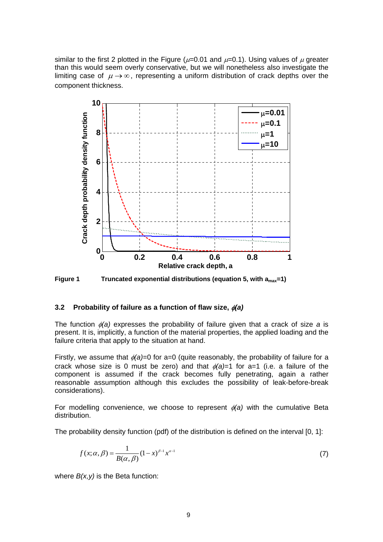similar to the first 2 plotted in the Figure ( $\mu$ =0.01 and  $\mu$ =0.1). Using values of  $\mu$  greater than this would seem overly conservative, but we will nonetheless also investigate the limiting case of  $\mu \rightarrow \infty$ , representing a uniform distribution of crack depths over the component thickness.



**Figure 1 Truncated exponential distributions (equation 5, with amax=1)** 

#### **3.2 Probability of failure as a function of flaw size,** φ*(a)*

The function φ*(a)* expresses the probability of failure given that a crack of size *a* is present. It is, implicitly, a function of the material properties, the applied loading and the failure criteria that apply to the situation at hand.

Firstly, we assume that φ*(a)*=0 for a=0 (quite reasonably, the probability of failure for a crack whose size is 0 must be zero) and that  $\phi(a)=1$  for a=1 (i.e. a failure of the component is assumed if the crack becomes fully penetrating, again a rather reasonable assumption although this excludes the possibility of leak-before-break considerations).

For modelling convenience, we choose to represent  $\phi(a)$  with the cumulative Beta distribution.

The probability density function (pdf) of the distribution is defined on the interval [0, 1]:

$$
f(x; \alpha, \beta) = \frac{1}{B(\alpha, \beta)} (1 - x)^{\beta - 1} x^{\alpha - 1}
$$
 (7)

where  $B(x, v)$  is the Beta function: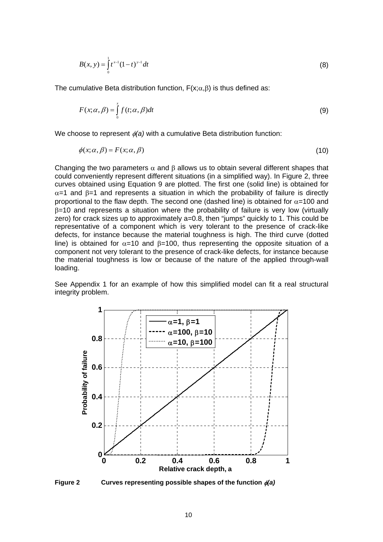$$
B(x, y) = \int_{0}^{1} t^{x-1} (1-t)^{y-1} dt
$$
 (8)

The cumulative Beta distribution function,  $F(x; \alpha, \beta)$  is thus defined as:

$$
F(x; \alpha, \beta) = \int_{0}^{x} f(t; \alpha, \beta) dt
$$
 (9)

We choose to represent φ*(a)* with a cumulative Beta distribution function:

$$
\phi(x;\alpha,\beta) = F(x;\alpha,\beta) \tag{10}
$$

Changing the two parameters  $\alpha$  and  $\beta$  allows us to obtain several different shapes that could conveniently represent different situations (in a simplified way). In Figure 2, three curves obtained using Equation 9 are plotted. The first one (solid line) is obtained for  $\alpha$ =1 and  $\beta$ =1 and represents a situation in which the probability of failure is directly proportional to the flaw depth. The second one (dashed line) is obtained for  $\alpha$ =100 and β=10 and represents a situation where the probability of failure is very low (virtually zero) for crack sizes up to approximately a=0.8, then "jumps" quickly to 1. This could be representative of a component which is very tolerant to the presence of crack-like defects, for instance because the material toughness is high. The third curve (dotted line) is obtained for  $\alpha$ =10 and  $\beta$ =100, thus representing the opposite situation of a component not very tolerant to the presence of crack-like defects, for instance because the material toughness is low or because of the nature of the applied through-wall loading.

See Appendix 1 for an example of how this simplified model can fit a real structural integrity problem.



**Figure 2 Curves representing possible shapes of the function** φ*(a)*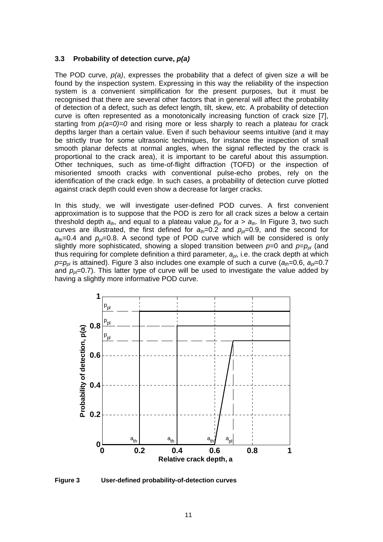## **3.3 Probability of detection curve,** *p(a)*

The POD curve, *p(a)*, expresses the probability that a defect of given size *a* will be found by the inspection system. Expressing in this way the reliability of the inspection system is a convenient simplification for the present purposes, but it must be recognised that there are several other factors that in general will affect the probability of detection of a defect, such as defect length, tilt, skew, etc. A probability of detection curve is often represented as a monotonically increasing function of crack size [7], starting from *p(a=0)=0* and rising more or less sharply to reach a plateau for crack depths larger than a certain value. Even if such behaviour seems intuitive (and it may be strictly true for some ultrasonic techniques, for instance the inspection of small smooth planar defects at normal angles, when the signal reflected by the crack is proportional to the crack area), it is important to be careful about this assumption. Other techniques, such as time-of-flight diffraction (TOFD) or the inspection of misoriented smooth cracks with conventional pulse-echo probes, rely on the identification of the crack edge. In such cases, a probability of detection curve plotted against crack depth could even show a decrease for larger cracks.

In this study, we will investigate user-defined POD curves. A first convenient approximation is to suppose that the POD is zero for all crack sizes *a* below a certain threshold depth  $a_{th}$ , and equal to a plateau value  $p_{pl}$  for  $a > a_{th}$ . In Figure 3, two such curves are illustrated, the first defined for  $a_{th}=0.2$  and  $p_{0}=0.9$ , and the second for  $a_{th}=0.4$  and  $p_{p}=0.8$ . A second type of POD curve which will be considered is only slightly more sophisticated, showing a sloped transition between  $p=0$  and  $p=p_{p}$  (and thus requiring for complete definition a third parameter, *apl*, i.e. the crack depth at which  $p=p_{p}$  is attained). Figure 3 also includes one example of such a curve ( $a_{th}=0.6$ ,  $a_{p}=0.7$ and  $p<sub>0</sub>=0.7$ ). This latter type of curve will be used to investigate the value added by having a slightly more informative POD curve.



**Figure 3 User-defined probability-of-detection curves**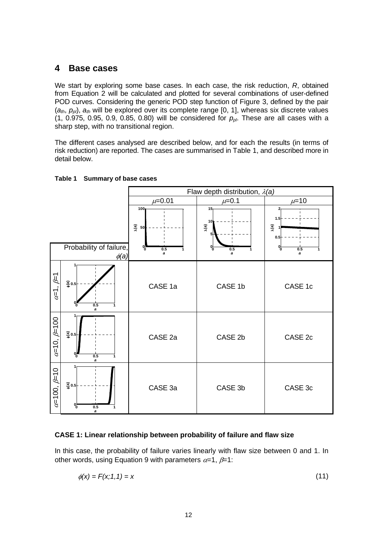## **4 Base cases**

We start by exploring some base cases. In each case, the risk reduction, *R*, obtained from Equation 2 will be calculated and plotted for several combinations of user-defined POD curves. Considering the generic POD step function of Figure 3, defined by the pair (*ath*, *ppl*), *ath* will be explored over its complete range [0, 1], whereas six discrete values  $(1, 0.975, 0.95, 0.9, 0.85, 0.80)$  will be considered for  $p_{p}$ . These are all cases with a sharp step, with no transitional region.

The different cases analysed are described below, and for each the results (in terms of risk reduction) are reported. The cases are summarised in Table 1, and described more in detail below.





## **CASE 1: Linear relationship between probability of failure and flaw size**

In this case, the probability of failure varies linearly with flaw size between 0 and 1. In other words, using Equation 9 with parameters  $\alpha=1$ ,  $\beta=1$ :

$$
\phi(x) = F(x; 1, 1) = x \tag{11}
$$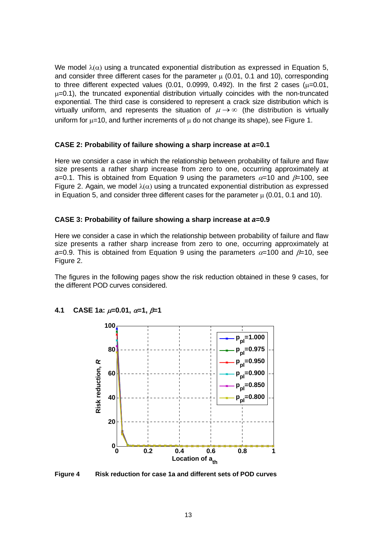We model  $\lambda(\alpha)$  using a truncated exponential distribution as expressed in Equation 5, and consider three different cases for the parameter  $\mu$  (0.01, 0.1 and 10), corresponding to three different expected values  $(0.01, 0.0999, 0.492)$ . In the first 2 cases  $(\mu=0.01, \mu=0.01)$  $\mu$ =0.1), the truncated exponential distribution virtually coincides with the non-truncated exponential. The third case is considered to represent a crack size distribution which is virtually uniform, and represents the situation of  $\mu \rightarrow \infty$  (the distribution is virtually uniform for  $\mu=10$ , and further increments of  $\mu$  do not change its shape), see Figure 1.

#### **CASE 2: Probability of failure showing a sharp increase at** *a***=0.1**

Here we consider a case in which the relationship between probability of failure and flaw size presents a rather sharp increase from zero to one, occurring approximately at *a*=0.1. This is obtained from Equation 9 using the parameters  $\alpha$ =10 and  $\beta$ =100, see Figure 2. Again, we model  $\lambda(\alpha)$  using a truncated exponential distribution as expressed in Equation 5, and consider three different cases for the parameter  $\mu$  (0.01, 0.1 and 10).

#### **CASE 3: Probability of failure showing a sharp increase at** *a***=0.9**

Here we consider a case in which the relationship between probability of failure and flaw size presents a rather sharp increase from zero to one, occurring approximately at *a*=0.9. This is obtained from Equation 9 using the parameters  $\alpha$ =100 and  $\beta$ =10, see Figure 2.

The figures in the following pages show the risk reduction obtained in these 9 cases, for the different POD curves considered.



## **4.1 CASE 1a:** µ**=0.01,** α**=1,** β**=1**

**Figure 4 Risk reduction for case 1a and different sets of POD curves**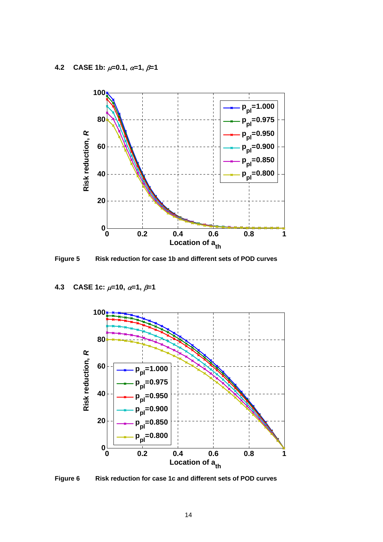

**Figure 5 Risk reduction for case 1b and different sets of POD curves** 

**4.3 CASE 1c:** µ**=10,** α**=1,** β**=1** 



**Figure 6 Risk reduction for case 1c and different sets of POD curves**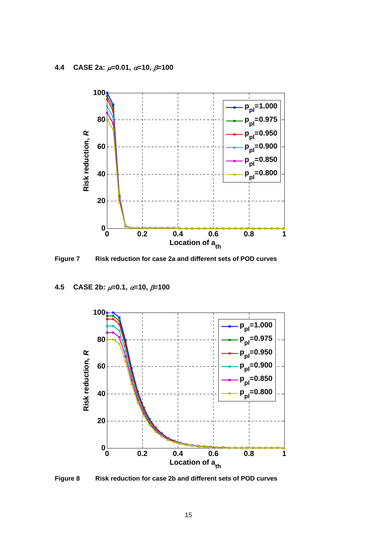

**Figure 7 Risk reduction for case 2a and different sets of POD curves** 

**4.5 CASE 2b:** µ**=0.1,** α**=10,** β**=100** 



**Figure 8 Risk reduction for case 2b and different sets of POD curves**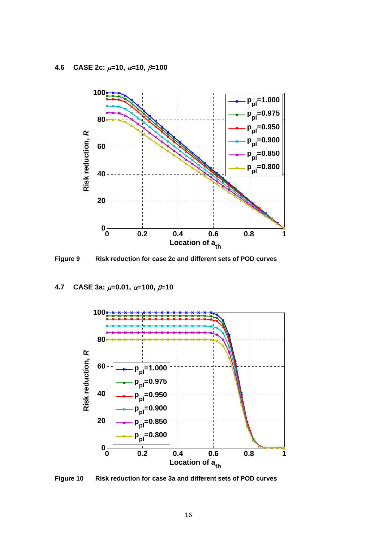

**Figure 9 Risk reduction for case 2c and different sets of POD curves** 

## **4.7 CASE 3a:** µ**=0.01,** α**=100,** β**=10**



**Figure 10 Risk reduction for case 3a and different sets of POD curves**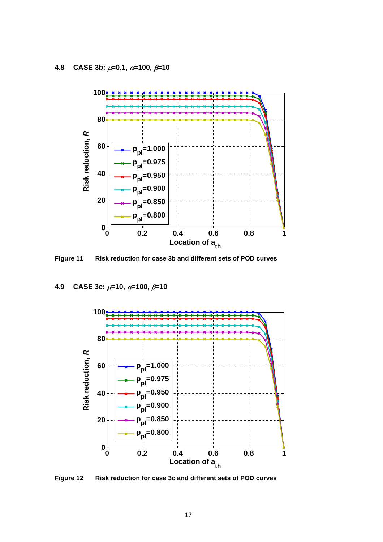

**Figure 11 Risk reduction for case 3b and different sets of POD curves** 

## **4.9 CASE 3c:** µ**=10,** α**=100,** β**=10**



**Figure 12 Risk reduction for case 3c and different sets of POD curves**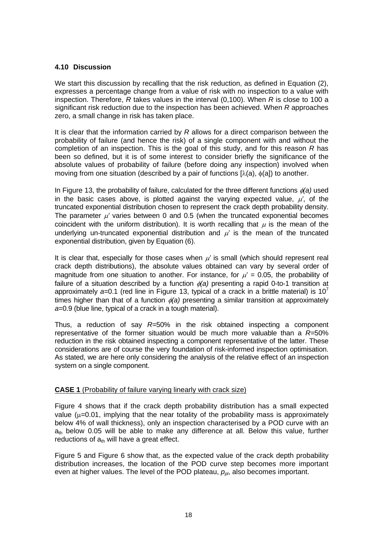## **4.10 Discussion**

We start this discussion by recalling that the risk reduction, as defined in Equation (2), expresses a percentage change from a value of risk with no inspection to a value with inspection. Therefore, *R* takes values in the interval (0,100). When *R* is close to 100 a significant risk reduction due to the inspection has been achieved. When *R* approaches zero, a small change in risk has taken place.

It is clear that the information carried by *R* allows for a direct comparison between the probability of failure (and hence the risk) of a single component with and without the completion of an inspection. This is the goal of this study, and for this reason *R* has been so defined, but it is of some interest to consider briefly the significance of the absolute values of probability of failure (before doing any inspection) involved when moving from one situation (described by a pair of functions  $[\lambda(a), \phi(a)]$ ) to another.

In Figure 13, the probability of failure, calculated for the three different functions φ*(a)* used in the basic cases above, is plotted against the varying expected value,  $\mu'$ , of the truncated exponential distribution chosen to represent the crack depth probability density. The parameter  $\mu'$  varies between 0 and 0.5 (when the truncated exponential becomes coincident with the uniform distribution). It is worth recalling that  $\mu$  is the mean of the underlying un-truncated exponential distribution and  $\mu'$  is the mean of the truncated exponential distribution, given by Equation (6).

It is clear that, especially for those cases when  $\mu'$  is small (which should represent real crack depth distributions), the absolute values obtained can vary by several order of magnitude from one situation to another. For instance, for  $\mu' = 0.05$ , the probability of failure of a situation described by a function  $\phi(a)$  presenting a rapid 0-to-1 transition at approximately  $a=0.1$  (red line in Figure 13, typical of a crack in a brittle material) is 10<sup>7</sup> times higher than that of a function  $\phi$ (a) presenting a similar transition at approximately *a*=0.9 (blue line, typical of a crack in a tough material).

Thus, a reduction of say *R=*50% in the risk obtained inspecting a component representative of the former situation would be much more valuable than a *R=*50% reduction in the risk obtained inspecting a component representative of the latter. These considerations are of course the very foundation of risk-informed inspection optimisation. As stated, we are here only considering the analysis of the relative effect of an inspection system on a single component.

## **CASE 1** (Probability of failure varying linearly with crack size)

Figure 4 shows that if the crack depth probability distribution has a small expected value ( $\mu$ =0.01, implying that the near totality of the probability mass is approximately below 4% of wall thickness), only an inspection characterised by a POD curve with an  $a_{th}$  below 0.05 will be able to make any difference at all. Below this value, further reductions of  $a<sub>th</sub>$  will have a great effect.

Figure 5 and Figure 6 show that, as the expected value of the crack depth probability distribution increases, the location of the POD curve step becomes more important even at higher values. The level of the POD plateau,  $p_{\textit{ob}}$  also becomes important.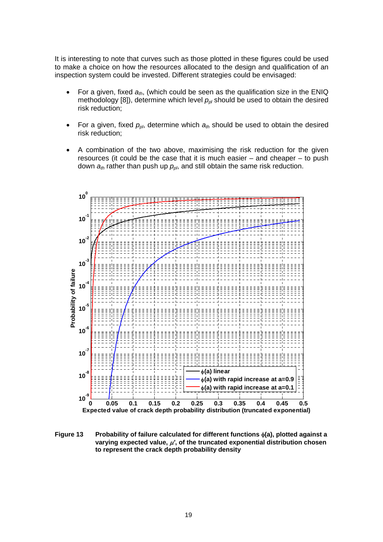It is interesting to note that curves such as those plotted in these figures could be used to make a choice on how the resources allocated to the design and qualification of an inspection system could be invested. Different strategies could be envisaged:

- For a given, fixed  $a_{th}$ , (which could be seen as the qualification size in the ENIQ methodology [8]), determine which level  $p_{p}$  should be used to obtain the desired risk reduction;
- For a given, fixed  $p_{ph}$ , determine which  $a_{th}$  should be used to obtain the desired risk reduction;
- A combination of the two above, maximising the risk reduction for the given resources (it could be the case that it is much easier – and cheaper – to push down  $a_{th}$  rather than push up  $p_{ph}$ , and still obtain the same risk reduction.



**Figure 13 Probability of failure calculated for different functions** φ**(a), plotted against a varying expected value,** µ*'***, of the truncated exponential distribution chosen to represent the crack depth probability density**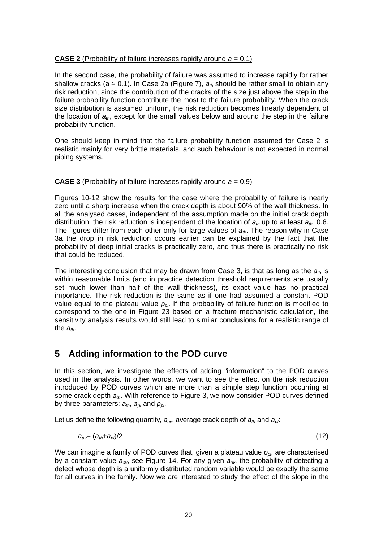## **CASE 2** (Probability of failure increases rapidly around *a* = 0.1)

In the second case, the probability of failure was assumed to increase rapidly for rather shallow cracks ( $a \approx 0.1$ ). In Case 2a (Figure 7),  $a_{th}$  should be rather small to obtain any risk reduction, since the contribution of the cracks of the size just above the step in the failure probability function contribute the most to the failure probability. When the crack size distribution is assumed uniform, the risk reduction becomes linearly dependent of the location of  $a_{th}$ , except for the small values below and around the step in the failure probability function.

One should keep in mind that the failure probability function assumed for Case 2 is realistic mainly for very brittle materials, and such behaviour is not expected in normal piping systems.

## **CASE 3** (Probability of failure increases rapidly around *a* = 0.9)

Figures 10-12 show the results for the case where the probability of failure is nearly zero until a sharp increase when the crack depth is about 90% of the wall thickness. In all the analysed cases, independent of the assumption made on the initial crack depth distribution, the risk reduction is independent of the location of  $a_{th}$  up to at least  $a_{th}=0.6$ . The figures differ from each other only for large values of *ath*. The reason why in Case 3a the drop in risk reduction occurs earlier can be explained by the fact that the probability of deep initial cracks is practically zero, and thus there is practically no risk that could be reduced.

The interesting conclusion that may be drawn from Case 3, is that as long as the *ath* is within reasonable limits (and in practice detection threshold requirements are usually set much lower than half of the wall thickness), its exact value has no practical importance. The risk reduction is the same as if one had assumed a constant POD value equal to the plateau value  $p_{p}$ . If the probability of failure function is modified to correspond to the one in Figure 23 based on a fracture mechanistic calculation, the sensitivity analysis results would still lead to similar conclusions for a realistic range of the  $a_{th}$ .

## **5 Adding information to the POD curve**

In this section, we investigate the effects of adding "information" to the POD curves used in the analysis. In other words, we want to see the effect on the risk reduction introduced by POD curves which are more than a simple step function occurring at some crack depth *ath*. With reference to Figure 3, we now consider POD curves defined by three parameters:  $a_{th}$ ,  $a_{pl}$  and  $p_{pl}$ .

Let us define the following quantity,  $a_{av}$ , average crack depth of  $a_{th}$  and  $a_{ol}$ .

$$
a_{av} = (a_{th} + a_{pl})/2 \tag{12}
$$

We can imagine a family of POD curves that, given a plateau value  $p_{\rho}$ , are characterised by a constant value *aav*, see Figure 14. For any given *aav*, the probability of detecting a defect whose depth is a uniformly distributed random variable would be exactly the same for all curves in the family. Now we are interested to study the effect of the slope in the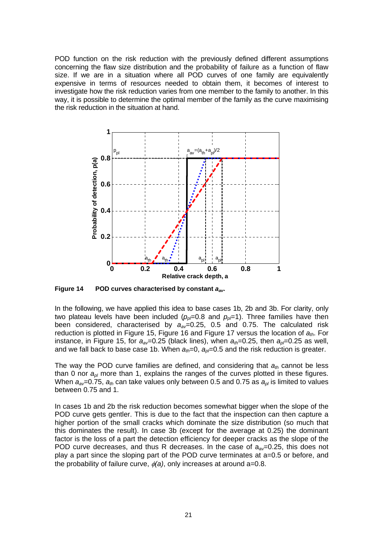POD function on the risk reduction with the previously defined different assumptions concerning the flaw size distribution and the probability of failure as a function of flaw size. If we are in a situation where all POD curves of one family are equivalently expensive in terms of resources needed to obtain them, it becomes of interest to investigate how the risk reduction varies from one member to the family to another. In this way, it is possible to determine the optimal member of the family as the curve maximising the risk reduction in the situation at hand.



**Figure 14 POD curves characterised by constant** *aav***.** 

In the following, we have applied this idea to base cases 1b, 2b and 3b. For clarity, only two plateau levels have been included  $(p_{p}=0.8$  and  $p_{p}=1)$ . Three families have then been considered, characterised by *aav*=0.25, 0.5 and 0.75. The calculated risk reduction is plotted in Figure 15, Figure 16 and Figure 17 versus the location of *ath*. For instance, in Figure 15, for  $a_{av}=0.25$  (black lines), when  $a_{tb}=0.25$ , then  $a_{0}=0.25$  as well, and we fall back to base case 1b. When  $a_{th}=0$ ,  $a_{0}=0.5$  and the risk reduction is greater.

The way the POD curve families are defined, and considering that *ath* cannot be less than 0 nor *apl* more than 1, explains the ranges of the curves plotted in these figures. When  $a_{av}=0.75$ ,  $a_{th}$  can take values only between 0.5 and 0.75 as  $a_{pl}$  is limited to values between 0.75 and 1.

In cases 1b and 2b the risk reduction becomes somewhat bigger when the slope of the POD curve gets gentler. This is due to the fact that the inspection can then capture a higher portion of the small cracks which dominate the size distribution (so much that this dominates the result). In case 3b (except for the average at 0.25) the dominant factor is the loss of a part the detection efficiency for deeper cracks as the slope of the POD curve decreases, and thus R decreases. In the case of  $a_{av}=0.25$ , this does not play a part since the sloping part of the POD curve terminates at a=0.5 or before, and the probability of failure curve, φ*(a)*, only increases at around a=0.8.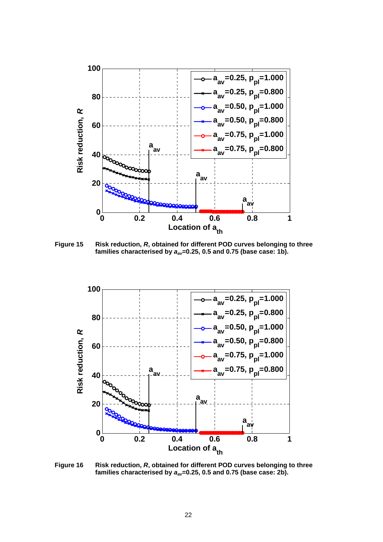

**Figure 15 Risk reduction,** *R***, obtained for different POD curves belonging to three families characterised by** *aav***=0.25, 0.5 and 0.75 (base case: 1b).** 



**Figure 16 Risk reduction,** *R***, obtained for different POD curves belonging to three families characterised by** *aav***=0.25, 0.5 and 0.75 (base case: 2b).**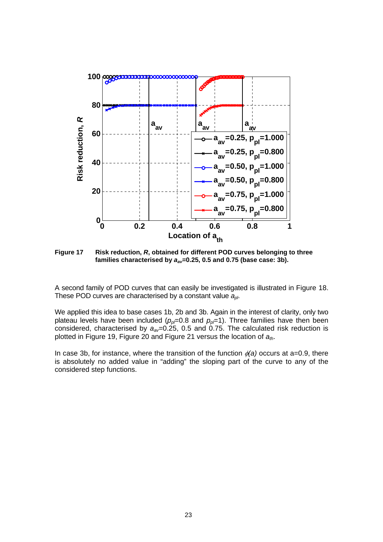

**Figure 17 Risk reduction,** *R***, obtained for different POD curves belonging to three families characterised by** *aav***=0.25, 0.5 and 0.75 (base case: 3b).** 

A second family of POD curves that can easily be investigated is illustrated in Figure 18. These POD curves are characterised by a constant value *apl*.

We applied this idea to base cases 1b, 2b and 3b. Again in the interest of clarity, only two plateau levels have been included ( $p_p$ =0.8 and  $p_p$ =1). Three families have then been considered, characterised by *aav*=0.25, 0.5 and 0.75. The calculated risk reduction is plotted in Figure 19, Figure 20 and Figure 21 versus the location of *ath*.

In case 3b, for instance, where the transition of the function φ*(a)* occurs at a=0.9, there is absolutely no added value in "adding" the sloping part of the curve to any of the considered step functions.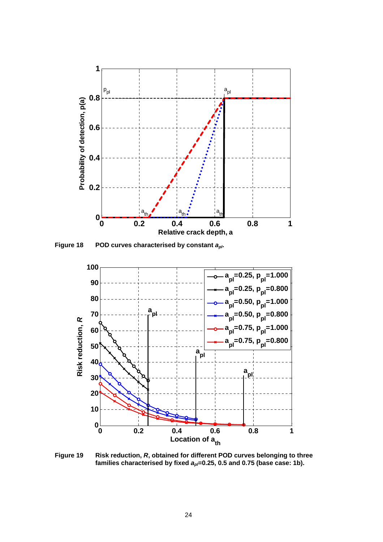

**Figure 18 POD curves characterised by constant** *apl***.** 



**Figure 19 Risk reduction,** *R***, obtained for different POD curves belonging to three**  families characterised by fixed  $a_{p}$ =0.25, 0.5 and 0.75 (base case: 1b).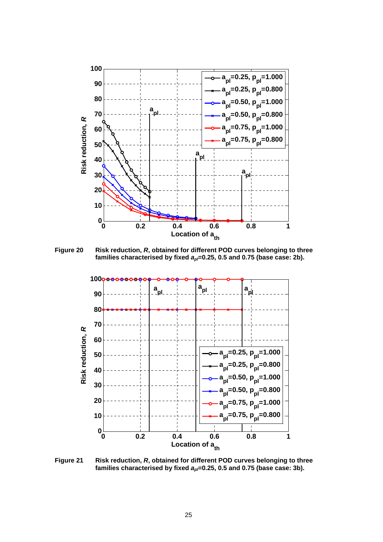

**Figure 20 Risk reduction,** *R***, obtained for different POD curves belonging to three**  families characterised by fixed  $a_p = 0.25$ , 0.5 and 0.75 (base case: 2b).



**Figure 21 Risk reduction,** *R***, obtained for different POD curves belonging to three**  families characterised by fixed  $a_p = 0.25$ , 0.5 and 0.75 (base case: 3b).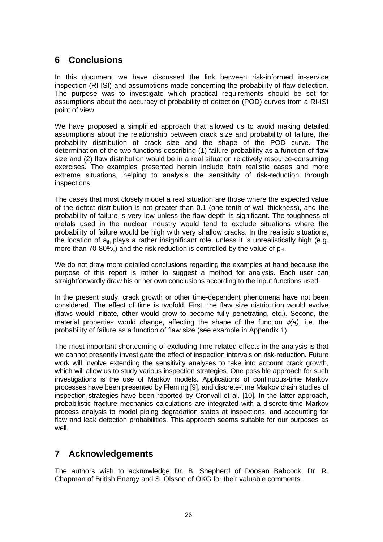## **6 Conclusions**

In this document we have discussed the link between risk-informed in-service inspection (RI-ISI) and assumptions made concerning the probability of flaw detection. The purpose was to investigate which practical requirements should be set for assumptions about the accuracy of probability of detection (POD) curves from a RI-ISI point of view.

We have proposed a simplified approach that allowed us to avoid making detailed assumptions about the relationship between crack size and probability of failure, the probability distribution of crack size and the shape of the POD curve. The determination of the two functions describing (1) failure probability as a function of flaw size and (2) flaw distribution would be in a real situation relatively resource-consuming exercises. The examples presented herein include both realistic cases and more extreme situations, helping to analysis the sensitivity of risk-reduction through inspections.

The cases that most closely model a real situation are those where the expected value of the defect distribution is not greater than 0.1 (one tenth of wall thickness), and the probability of failure is very low unless the flaw depth is significant. The toughness of metals used in the nuclear industry would tend to exclude situations where the probability of failure would be high with very shallow cracks. In the realistic situations, the location of  $a<sub>th</sub>$  plays a rather insignificant role, unless it is unrealistically high (e.g. more than 70-80%,) and the risk reduction is controlled by the value of  $p_{pl}$ .

We do not draw more detailed conclusions regarding the examples at hand because the purpose of this report is rather to suggest a method for analysis. Each user can straightforwardly draw his or her own conclusions according to the input functions used.

In the present study, crack growth or other time-dependent phenomena have not been considered. The effect of time is twofold. First, the flaw size distribution would evolve (flaws would initiate, other would grow to become fully penetrating, etc.). Second, the material properties would change, affecting the shape of the function  $\phi(a)$ , i.e. the probability of failure as a function of flaw size (see example in Appendix 1).

The most important shortcoming of excluding time-related effects in the analysis is that we cannot presently investigate the effect of inspection intervals on risk-reduction. Future work will involve extending the sensitivity analyses to take into account crack growth, which will allow us to study various inspection strategies. One possible approach for such investigations is the use of Markov models. Applications of continuous-time Markov processes have been presented by Fleming [9], and discrete-time Markov chain studies of inspection strategies have been reported by Cronvall et al. [10]. In the latter approach, probabilistic fracture mechanics calculations are integrated with a discrete-time Markov process analysis to model piping degradation states at inspections, and accounting for flaw and leak detection probabilities. This approach seems suitable for our purposes as well.

## **7 Acknowledgements**

The authors wish to acknowledge Dr. B. Shepherd of Doosan Babcock, Dr. R. Chapman of British Energy and S. Olsson of OKG for their valuable comments.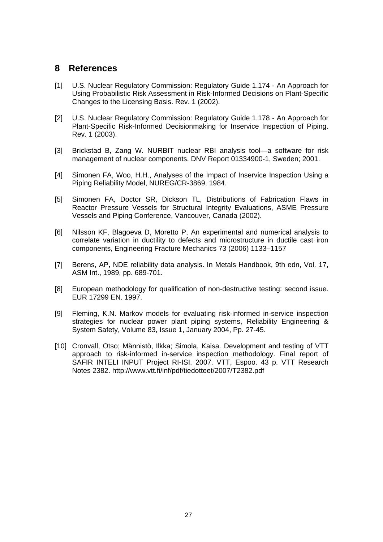## **8 References**

- [1] U.S. Nuclear Regulatory Commission: Regulatory Guide 1.174 An Approach for Using Probabilistic Risk Assessment in Risk-Informed Decisions on Plant-Specific Changes to the Licensing Basis. Rev. 1 (2002).
- [2] U.S. Nuclear Regulatory Commission: Regulatory Guide 1.178 An Approach for Plant-Specific Risk-Informed Decisionmaking for Inservice Inspection of Piping. Rev. 1 (2003).
- [3] Brickstad B, Zang W. NURBIT nuclear RBI analysis tool—a software for risk management of nuclear components. DNV Report 01334900-1, Sweden; 2001.
- [4] Simonen FA, Woo, H.H., Analyses of the Impact of Inservice Inspection Using a Piping Reliability Model, NUREG/CR-3869, 1984.
- [5] Simonen FA, Doctor SR, Dickson TL, Distributions of Fabrication Flaws in Reactor Pressure Vessels for Structural Integrity Evaluations, ASME Pressure Vessels and Piping Conference, Vancouver, Canada (2002).
- [6] Nilsson KF, Blagoeva D, Moretto P, An experimental and numerical analysis to correlate variation in ductility to defects and microstructure in ductile cast iron components, Engineering Fracture Mechanics 73 (2006) 1133–1157
- [7] Berens, AP, NDE reliability data analysis. In Metals Handbook, 9th edn, Vol. 17, ASM Int., 1989, pp. 689-701.
- [8] European methodology for qualification of non-destructive testing: second issue. EUR 17299 EN. 1997.
- [9] Fleming, K.N. Markov models for evaluating risk-informed in-service inspection strategies for nuclear power plant piping systems, Reliability Engineering & System Safety, Volume 83, Issue 1, January 2004, Pp. 27-45.
- [10] Cronvall, Otso; Männistö, Ilkka; Simola, Kaisa. Development and testing of VTT approach to risk-informed in-service inspection methodology. Final report of SAFIR INTELI INPUT Project RI-ISI. 2007. VTT, Espoo. 43 p. VTT Research Notes 2382. http://www.vtt.fi/inf/pdf/tiedotteet/2007/T2382.pdf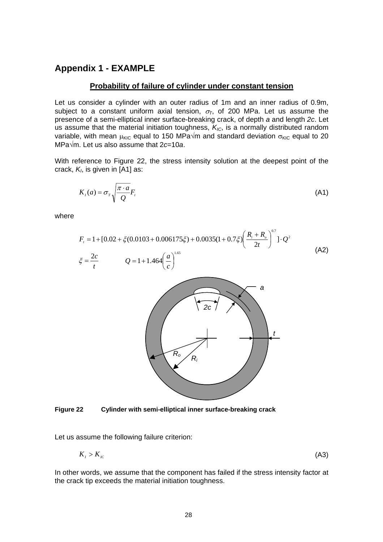## **Appendix 1 - EXAMPLE**

#### **Probability of failure of cylinder under constant tension**

Let us consider a cylinder with an outer radius of 1m and an inner radius of 0.9m, subject to a constant uniform axial tension,  $\sigma$ <sub>T</sub>, of 200 MPa. Let us assume the presence of a semi-elliptical inner surface-breaking crack, of depth *a* and length *2c*. Let us assume that the material initiation toughness,  $K_{IC}$ , is a normally distributed random variable, with mean  $\mu_{\text{KIC}}$  equal to 150 MPa $\sqrt{m}$  and standard deviation  $\sigma_{\text{KIC}}$  equal to 20 MPa√m. Let us also assume that 2*c*=10*a*.

With reference to Figure 22, the stress intensity solution at the deepest point of the crack,  $K<sub>l</sub>$ , is given in [A1] as:

$$
K_{i}(a) = \sigma_{r} \sqrt{\frac{\pi \cdot a}{Q}} F_{i}
$$
 (A1)

where

$$
F_{i} = 1 + [0.02 + \xi(0.0103 + 0.006175\xi) + 0.0035(1 + 0.7\xi) \left(\frac{R_{i} + R_{o}}{2t}\right)^{0.7}] \cdot Q^{2}
$$
\n
$$
\xi = \frac{2c}{t} \qquad Q = 1 + 1.464 \left(\frac{a}{c}\right)^{1.65}
$$
\n(A2)



**Figure 22 Cylinder with semi-elliptical inner surface-breaking crack** 

Let us assume the following failure criterion:

$$
K_{I} > K_{IC} \tag{A3}
$$

In other words, we assume that the component has failed if the stress intensity factor at the crack tip exceeds the material initiation toughness.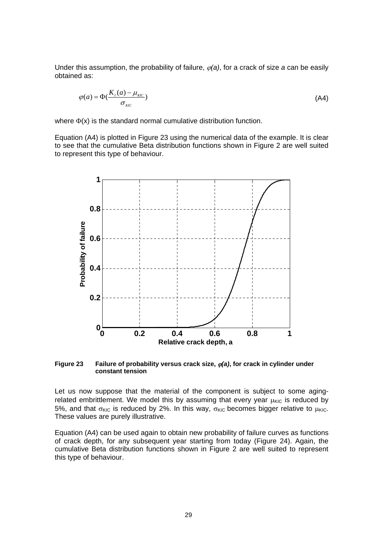Under this assumption, the probability of failure,  $\varphi(a)$ , for a crack of size a can be easily obtained as:

$$
\varphi(a) = \Phi\left(\frac{K_{I}(a) - \mu_{\text{KIC}}}{\sigma_{\text{KIC}}}\right)
$$
\n(A4)

where  $\Phi(x)$  is the standard normal cumulative distribution function.

Equation (A4) is plotted in Figure 23 using the numerical data of the example. It is clear to see that the cumulative Beta distribution functions shown in Figure 2 are well suited to represent this type of behaviour.



**Figure 23** Failure of probability versus crack size,  $\varphi$ (a), for crack in cylinder under **constant tension** 

Let us now suppose that the material of the component is subject to some agingrelated embrittlement. We model this by assuming that every year  $\mu_{\text{KIC}}$  is reduced by 5%, and that  $\sigma_{\text{KIC}}$  is reduced by 2%. In this way,  $\sigma_{\text{KIC}}$  becomes bigger relative to  $\mu_{\text{KIC}}$ . These values are purely illustrative.

Equation (A4) can be used again to obtain new probability of failure curves as functions of crack depth, for any subsequent year starting from today (Figure 24). Again, the cumulative Beta distribution functions shown in Figure 2 are well suited to represent this type of behaviour.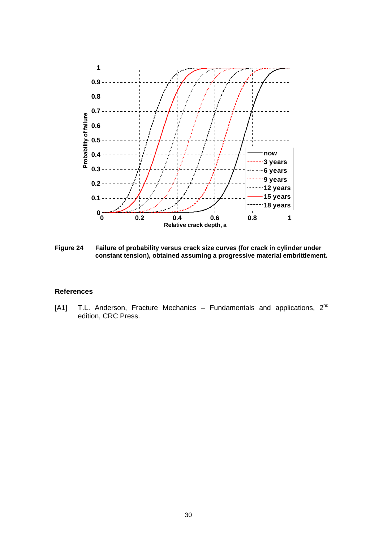

**Figure 24 Failure of probability versus crack size curves (for crack in cylinder under constant tension), obtained assuming a progressive material embrittlement.** 

#### **References**

[A1] T.L. Anderson, Fracture Mechanics – Fundamentals and applications, 2<sup>nd</sup> edition, CRC Press.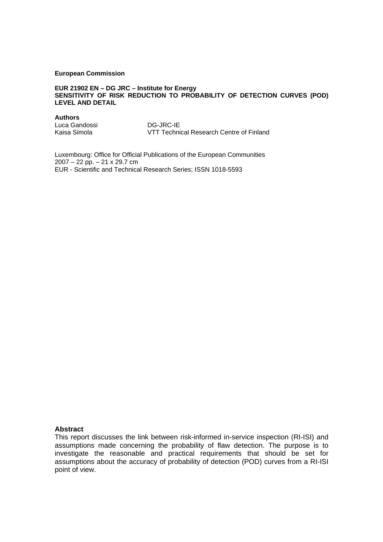#### **European Commission**

#### **EUR 21902 EN – DG JRC – Institute for Energy SENSITIVITY OF RISK REDUCTION TO PROBABILITY OF DETECTION CURVES (POD) LEVEL AND DETAIL**

**Authors**

Luca Gandossi DG-JRC-IE

VTT Technical Research Centre of Finland

Luxembourg: Office for Official Publications of the European Communities 2007 – 22 pp. – 21 x 29.7 cm EUR - Scientific and Technical Research Series; ISSN 1018-5593

#### **Abstract**

This report discusses the link between risk-informed in-service inspection (RI-ISI) and assumptions made concerning the probability of flaw detection. The purpose is to investigate the reasonable and practical requirements that should be set for assumptions about the accuracy of probability of detection (POD) curves from a RI-ISI point of view.